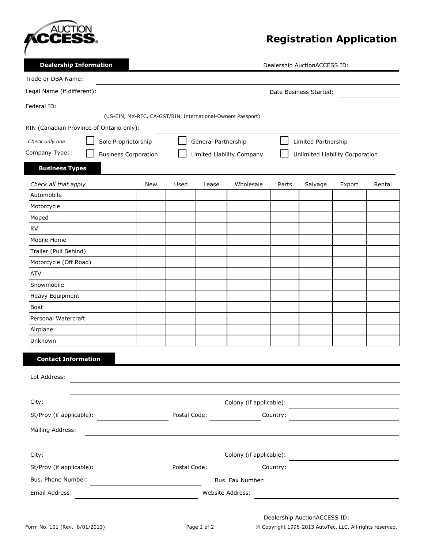

## **Registration Application**

| <b>Dealership Information</b>                | Dealership AuctionACCESS ID:                                               |                  |              |                                            |          |                                 |        |        |  |
|----------------------------------------------|----------------------------------------------------------------------------|------------------|--------------|--------------------------------------------|----------|---------------------------------|--------|--------|--|
| Trade or DBA Name:                           |                                                                            |                  |              |                                            |          |                                 |        |        |  |
| Legal Name (if different):                   | Date Business Started:                                                     |                  |              |                                            |          |                                 |        |        |  |
| Federal ID:                                  |                                                                            |                  |              |                                            |          |                                 |        |        |  |
|                                              | (US-EIN, MX-RFC, CA-GST/BIN, International-Owners Passport)                |                  |              |                                            |          |                                 |        |        |  |
| RIN (Canadian Province of Ontario only):     |                                                                            |                  |              |                                            |          |                                 |        |        |  |
| Check only one                               | Sole Proprietorship                                                        |                  |              | General Partnership<br>Limited Partnership |          |                                 |        |        |  |
| Company Type:<br><b>Business Corporation</b> |                                                                            |                  |              | Limited Liability Company                  |          | Unlimited Liability Corporation |        |        |  |
| <b>Business Types</b>                        |                                                                            |                  |              |                                            |          |                                 |        |        |  |
| Check all that apply                         | <b>New</b>                                                                 | Used             | Lease        | Wholesale                                  | Parts    | Salvage                         | Export | Rental |  |
| Automobile                                   |                                                                            |                  |              |                                            |          |                                 |        |        |  |
| Motorcycle                                   |                                                                            |                  |              |                                            |          |                                 |        |        |  |
| Moped                                        |                                                                            |                  |              |                                            |          |                                 |        |        |  |
| <b>RV</b>                                    |                                                                            |                  |              |                                            |          |                                 |        |        |  |
| Mobile Home                                  |                                                                            |                  |              |                                            |          |                                 |        |        |  |
| Trailer (Pull Behind)                        |                                                                            |                  |              |                                            |          |                                 |        |        |  |
| Motorcycle (Off Road)                        |                                                                            |                  |              |                                            |          |                                 |        |        |  |
| <b>ATV</b>                                   |                                                                            |                  |              |                                            |          |                                 |        |        |  |
| Snowmobile                                   |                                                                            |                  |              |                                            |          |                                 |        |        |  |
| Heavy Equipment                              |                                                                            |                  |              |                                            |          |                                 |        |        |  |
| Boat                                         |                                                                            |                  |              |                                            |          |                                 |        |        |  |
| Personal Watercraft                          |                                                                            |                  |              |                                            |          |                                 |        |        |  |
| Airplane                                     |                                                                            |                  |              |                                            |          |                                 |        |        |  |
| Unknown                                      |                                                                            |                  |              |                                            |          |                                 |        |        |  |
| <b>Contact Information</b>                   |                                                                            |                  |              |                                            |          |                                 |        |        |  |
| Lot Address:                                 |                                                                            |                  |              |                                            |          |                                 |        |        |  |
|                                              |                                                                            |                  |              |                                            |          |                                 |        |        |  |
| City:                                        |                                                                            |                  |              | Colony (if applicable):                    |          |                                 |        |        |  |
| St/Prov (if applicable):                     |                                                                            | Postal Code:     |              | Country:                                   |          |                                 |        |        |  |
| Mailing Address:                             |                                                                            |                  |              |                                            |          |                                 |        |        |  |
|                                              |                                                                            |                  |              |                                            |          |                                 |        |        |  |
| City:                                        | the control of the control of the control of the control of the control of |                  |              | Colony (if applicable):                    |          |                                 |        |        |  |
| St/Prov (if applicable):                     |                                                                            |                  | Postal Code: |                                            | Country: |                                 |        |        |  |
| Bus. Phone Number:                           | the control of the control of the control of the                           |                  |              | Bus. Fax Number:                           |          |                                 |        |        |  |
|                                              |                                                                            | Website Address: |              |                                            |          |                                 |        |        |  |